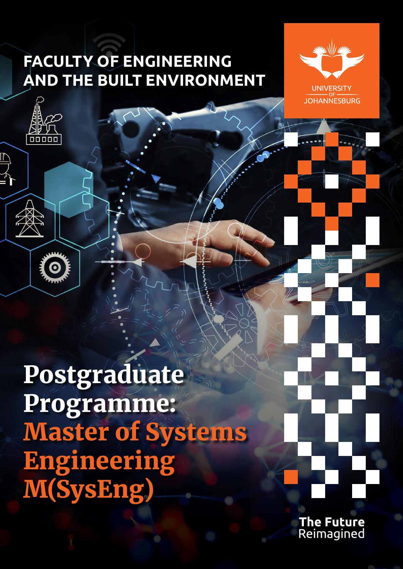# **FACULTY OF ENGINEERING AND THE BUILT ENVIRONMENT**





 $\bullet$ 

Postgraduate Programme: Master of Systems Engineering M(SysEng)

> The Future Reimagined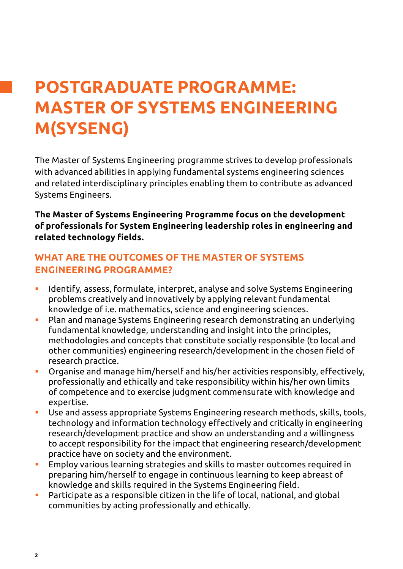# **POSTGRADUATE PROGRAMME: MASTER OF SYSTEMS ENGINEERING M(SYSENG)**

The Master of Systems Engineering programme strives to develop professionals with advanced abilities in applying fundamental systems engineering sciences and related interdisciplinary principles enabling them to contribute as advanced Systems Engineers.

**The Master of Systems Engineering Programme focus on the development of professionals for System Engineering leadership roles in engineering and related technology fields.**

### **WHAT ARE THE OUTCOMES OF THE MASTER OF SYSTEMS ENGINEERING PROGRAMME?**

- Identify, assess, formulate, interpret, analyse and solve Systems Engineering problems creatively and innovatively by applying relevant fundamental knowledge of i.e. mathematics, science and engineering sciences.
- Plan and manage Systems Engineering research demonstrating an underlying fundamental knowledge, understanding and insight into the principles, methodologies and concepts that constitute socially responsible (to local and other communities) engineering research/development in the chosen field of research practice.
- Organise and manage him/herself and his/her activities responsibly, effectively, professionally and ethically and take responsibility within his/her own limits of competence and to exercise judgment commensurate with knowledge and expertise.
- Use and assess appropriate Systems Engineering research methods, skills, tools, technology and information technology effectively and critically in engineering research/development practice and show an understanding and a willingness to accept responsibility for the impact that engineering research/development practice have on society and the environment.
- Employ various learning strategies and skills to master outcomes required in preparing him/herself to engage in continuous learning to keep abreast of knowledge and skills required in the Systems Engineering field.
- Participate as a responsible citizen in the life of local, national, and global communities by acting professionally and ethically.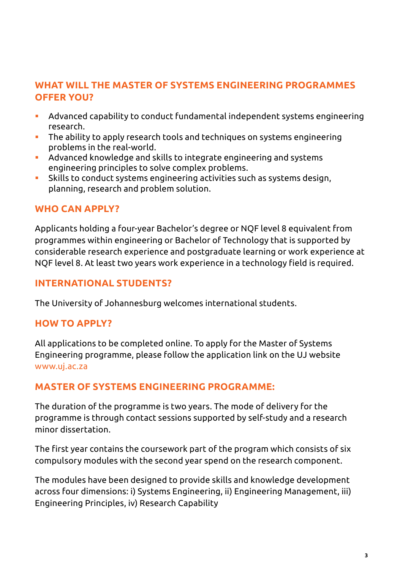## **WHAT WILL THE MASTER OF SYSTEMS ENGINEERING PROGRAMMES OFFER YOU?**

- Advanced capability to conduct fundamental independent systems engineering research.
- The ability to apply research tools and techniques on systems engineering problems in the real-world.
- Advanced knowledge and skills to integrate engineering and systems engineering principles to solve complex problems.
- Skills to conduct systems engineering activities such as systems design, planning, research and problem solution.

### **WHO CAN APPLY?**

Applicants holding a four-year Bachelor's degree or NQF level 8 equivalent from programmes within engineering or Bachelor of Technology that is supported by considerable research experience and postgraduate learning or work experience at NQF level 8. At least two years work experience in a technology field is required.

### **INTERNATIONAL STUDENTS?**

The University of Johannesburg welcomes international students.

#### **HOW TO APPLY?**

All applications to be completed online. To apply for the Master of Systems Engineering programme, please follow the application link on the UJ website <www.uj.ac.za>

### **MASTER OF SYSTEMS ENGINEERING PROGRAMME:**

The duration of the programme is two years. The mode of delivery for the programme is through contact sessions supported by self-study and a research minor dissertation.

The first year contains the coursework part of the program which consists of six compulsory modules with the second year spend on the research component.

The modules have been designed to provide skills and knowledge development across four dimensions: i) Systems Engineering, ii) Engineering Management, iii) Engineering Principles, iv) Research Capability